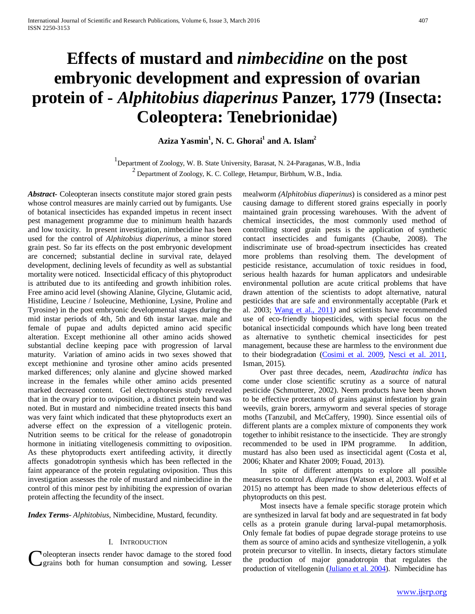# **Effects of mustard and** *nimbecidine* **on the post embryonic development and expression of ovarian protein of -** *Alphitobius diaperinus* **Panzer, 1779 (Insecta: Coleoptera: Tenebrionidae)**

**Aziza Yasmin1 , N. C. Ghorai1 and A. Islam2**

1 Department of Zoology, W. B. State University, Barasat, N. 24-Paraganas, W.B., India  $^{2}$  Department of Zoology, K. C. College, Hetampur, Birbhum, W.B., India.

*Abstract***-** Coleopteran insects constitute major stored grain pests whose control measures are mainly carried out by fumigants. Use of botanical insecticides has expanded impetus in recent insect pest management programme due to minimum health hazards and low toxicity. In present investigation, nimbecidine has been used for the control of *Alphitobius diaperinus,* a minor stored grain pest. So far its effects on the post embryonic development are concerned; substantial decline in survival rate, delayed development, declining levels of fecundity as well as substantial mortality were noticed. Insecticidal efficacy of this phytoproduct is attributed due to its antifeeding and growth inhibition roles. Free amino acid level (showing Alanine, Glycine, Glutamic acid, Histidine, Leucine / Isoleucine, Methionine, Lysine, Proline and Tyrosine) in the post embryonic developmental stages during the mid instar periods of 4th, 5th and 6th instar larvae. male and female of pupae and adults depicted amino acid specific alteration. Except methionine all other amino acids showed substantial decline keeping pace with progression of larval maturity. Variation of amino acids in two sexes showed that except methionine and tyrosine other amino acids presented marked differences; only alanine and glycine showed marked increase in the females while other amino acids presented marked decreased content. Gel electrophoresis study revealed that in the ovary prior to oviposition, a distinct protein band was noted. But in mustard and nimbecidine treated insects this band was very faint which indicated that these phytoproducts exert an adverse effect on the expression of a vitellogenic protein. Nutrition seems to be critical for the release of gonadotropin hormone in initiating vitellogenesis committing to oviposition. As these phytoproducts exert antifeeding activity, it directly affects gonadotropin synthesis which has been reflected in the faint appearance of the protein regulating oviposition. Thus this investigation assesses the role of mustard and nimbecidine in the control of this minor pest by inhibiting the expression of ovarian protein affecting the fecundity of the insect.

*Index Terms*- *Alphitobius*, Nimbecidine, Mustard, fecundity.

#### I. INTRODUCTION

grains both for human consumption and sowing. Lesser

mealworm *(Alphitobius diaperinus*) is considered as a minor pest causing damage to different stored grains especially in poorly maintained grain processing warehouses. With the advent of chemical insecticides, the most commonly used method of controlling stored grain pests is the application of synthetic contact insecticides and fumigants (Chaube, 2008). The indiscriminate use of broad-spectrum insecticides has created more problems than resolving them. The development of pesticide resistance, accumulation of toxic residues in food, serious health hazards for human applicators and undesirable environmental pollution are acute critical problems that have drawn attention of the scientists to adopt alternative, natural pesticides that are safe and environmentally acceptable (Park et al. 2003; [Wang et al., 2011](http://jinsectscience.oxfordjournals.org/content/14/1/75#ref-27)*)* and scientists have recommended use of eco-friendly biopesticides, with special focus on the botanical insecticidal compounds which have long been treated as alternative to synthetic chemical insecticides for pest management, because these are harmless to the environment due to their biodegradation [\(Cosimi et al. 2009,](http://jinsectscience.oxfordjournals.org/content/14/1/75#ref-7) [Nesci et al. 2011,](http://jinsectscience.oxfordjournals.org/content/14/1/75#ref-19) Isman, 2015).

 Over past three decades, neem, *Azadirachta indica* has come under close scientific scrutiny as a source of natural pesticide (Schmutterer, 2002). Neem products have been shown to be effective protectants of grains against infestation by grain weevils, grain borers, armyworm and several species of storage moths (Tanzubil, and McCaffery, 1990). Since essential oils of different plants are a complex mixture of components they work together to inhibit resistance to the insecticide. They are strongly recommended to be used in IPM programme. In addition, mustard has also been used as insecticidal agent (Costa et al, 2006; Khater and Khater 2009; Fouad, 2013).

 In spite of different attempts to explore all possible measures to control *A. diaperinus* (Watson et al, 2003. Wolf et al 2015) no attempt has been made to show deleterious effects of phytoproducts on this pest.

Oleopteran insects render havoc damage to the stored food<br>
the production of major gonadotropin that regulates the<br>
production of vitellogenin [\(Juliano et al. 2004\)](http://jeb.biologists.org/content/211/1/79.long#ref-22). Nimbecidine has Most insects have a female specific storage protein which are synthesized in larval fat body and are sequestrated in fat body cells as a protein granule during larval-pupal metamorphosis. Only female fat bodies of pupae degrade storage proteins to use them as source of amino acids and synthesize vitellogenin, a yolk protein precursor to vitellin. In insects, dietary factors stimulate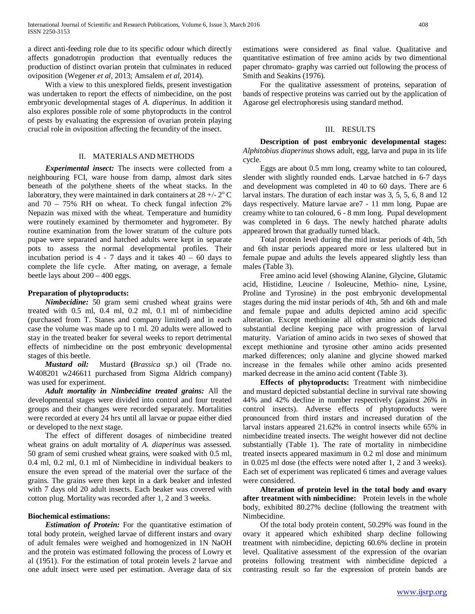a direct anti-feeding role due to its specific odour which directly affects gonadotropin production that eventually reduces the production of distinct ovarian protein that culminates in reduced oviposition (Wegener *et al,* 2013; Amsalem *et al*, 2014).

 With a view to this unexplored fields, present investigation was undertaken to report the effects of nimbecidine, on the post embryonic developmental stages of *A. diaperinus.* In addition it also explores possible role of some phytoproducts in the control of pests by evaluating the expression of ovarian protein playing crucial role in oviposition affecting the fecundity of the insect.

### II. MATERIALS AND METHODS

 *Experimental insect:* The insects were collected from a neighbouring FCI, ware house from damp, almost dark sites beneath of the polythene sheets of the wheat stacks. In the laboratory, they were maintained in dark containers at  $28 +12$ °C and 70 – 75% RH on wheat. To check fungal infection 2% Nepazin was mixed with the wheat. Temperature and humidity were routinely examined by thermometer and hygrometer. By routine examination from the lower stratum of the culture pots pupae were separated and hatched adults were kept in separate pots to assess the normal developmental profiles. Their incubation period is  $4 - 7$  days and it takes  $40 - 60$  days to complete the life cycle. After mating, on average, a female beetle lays about 200 – 400 eggs.

## **Preparation of phytoproducts:**

 *Nimbecidine:* 50 gram semi crushed wheat grains were treated with 0.5 ml, 0.4 ml, 0.2 ml, 0.1 ml of nimbecidine (purchased from T. Stanes and company limited) and in each case the volume was made up to 1 ml. 20 adults were allowed to stay in the treated beaker for several weeks to report detrimental effects of nimbecidine on the post embryonic developmental stages of this beetle.

 *Mustard oil:*Mustard **(***Brassica sp.*) oil (Trade no. W408201 w246611 purchased from Sigma Aldrich company) was used for experiment.

 *Adult mortality in Nimbecidine treated grains:* All the developmental stages were divided into control and four treated groups and their changes were recorded separately. Mortalities were recorded at every 24 hrs until all larvae or pupae either died or developed to the next stage.

The effect of different dosages of nimbecidine treated wheat grains on adult mortality of *A. diaperinus* was assessed. 50 gram of semi crushed wheat grains, were soaked with 0.5 ml, 0.4 ml, 0.2 ml, 0.1 ml of Nimbecidine in individual beakers to ensure the even spread of the material over the surface of the grains. The grains were then kept in a dark beaker and infested with 7 days old 20 adult insects. Each beaker was covered with cotton plug. Mortality was recorded after 1, 2 and 3 weeks.

## **Biochemical estimations:**

 *Estimation of Protein:* For the quantitative estimation of total body protein, weighed larvae of different instars and ovary of adult females were weighed and homogenized in 1N NaOH and the protein was estimated following the process of Lowry et al (1951). For the estimation of total protein levels 2 larvae and one adult insect were used per estimation. Average data of six estimations were considered as final value. Qualitative and quantitative estimation of free amino acids by two dimentional paper chromato- graphy was carried out following the process of Smith and Seakins (1976).

For the qualitative assessment of proteins, separation of bands of respective proteins was carried out by the application of Agarose gel electrophoresis using standard method.

#### III. RESULTS

**Description of post embryonic developmental stages:**  *Alphitobius diaperinus* shows adult, egg, larva and pupa in its life cycle.

Eggs are about 0.5 mm long, creamy white to tan coloured, slender with slightly rounded ends. Larvae hatched in 6-7 days and development was completed in 40 to 60 days. There are 6 larval instars. The duration of each instar was 3, 5, 5, 6, 8 and 12 days respectively. Mature larvae are7 - 11 mm long. Pupae are creamy white to tan coloured, 6 - 8 mm long. Pupal development was completed in 6 days. The newly hatched pharate adults appeared brown that gradually turned black.

Total protein level during the mid instar periods of 4th, 5th and 6th instar periods appeared more or less ulaltered but in female pupae and adults the levels appeared slightly less than males (Table 3).

Free amino acid level (showing Alanine, Glycine, Glutamic acid, Histidine, Leucine / Isoleucine, Methio- nine, Lysine, Proline and Tyrosine) in the post embryonic developmental stages during the mid instar periods of 4th, 5th and 6th and male and female pupae and adults depicted amino acid specific alteration. Except methionine all other amino acids depicted substantial decline keeping pace with progression of larval maturity. Variation of amino acids in two sexes of showed that except methionine and tyrosine other amino acids presented marked differences; only alanine and glycine showed marked increase in the females while other amino acids presented marked decrease in the amino acid content (Table 3).

**Effects of phytoproducts:** Treatment with nimbecidine and mustard depicted substantial decline in survival rate showing 44% and 42% decline in number respectively (against 26% in control insects). Adverse effects of phytoproducts were pronounced from third instars and increased duration of the larval instars appeared 21.62% in control insects while 65% in nimbecidine treated insects. The weight however did not decline substantially (Table 1). The rate of mortality in nimbecidine treated insects appeared maximum in 0.2 ml dose and minimum in 0.025 ml dose (the effects were noted after 1, 2 and 3 weeks). Each set of experiment was replicated 6 times and average values were considered.

**Alteration of protein level in the total body and ovary after treatment with nimbecidine:** Protein levels in the whole body, exhibited 80.27% decline (following the treatment with Nimbecidine.

Of the total body protein content, 50.29% was found in the ovary it appeared which exhibited sharp decline following treatment with nimbecidine, depicting 60.6% decline in protein level. Qualitative assessment of the expression of the ovarian proteins following treatment with nimbecidine depicted a contrasting result so far the expression of protein bands are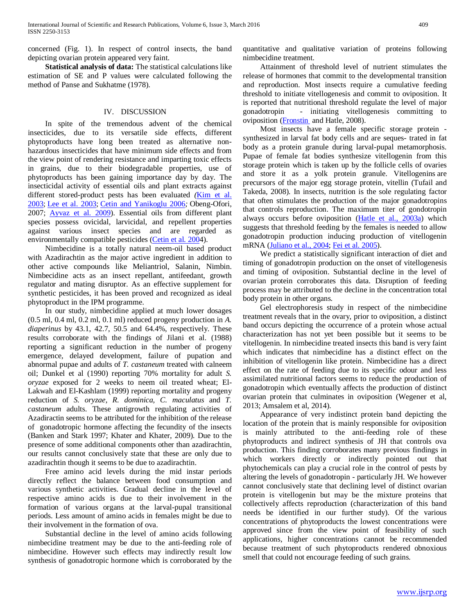concerned (Fig. 1). In respect of control insects, the band depicting ovarian protein appeared very faint.

**Statistical analysis of data:** The statistical calculations like estimation of SE and P values were calculated following the method of Panse and Sukhatme (1978).

## IV. DISCUSSION

In spite of the tremendous advent of the chemical insecticides, due to its versatile side effects, different phytoproducts have long been treated as alternative nonhazardous insecticides that have minimum side effects and from the view point of rendering resistance and imparting toxic effects in grains, due to their biodegradable properties, use of phytoproducts has been gaining importance day by day. The insecticidal activity of essential oils and plant extracts against different stored-product pests has been evaluated *(Kim et al.* [2003;](http://jinsectscience.oxfordjournals.org/content/10/1/21#ref-24) [Lee et al. 2003;](http://jinsectscience.oxfordjournals.org/content/10/1/21#ref-27) [Cetin and Yanikoglu 2006](http://jinsectscience.oxfordjournals.org/content/10/1/21#ref-10)*;* Obeng-Ofori, 2007; [Ayvaz et al. 2009\)](http://jinsectscience.oxfordjournals.org/content/10/1/21#ref-7). Essential oils from different plant species possess ovicidal, larvicidal, and repellent properties against various insect species and are regarded as environmentally compatible pesticides [\(Cetin et al](http://jinsectscience.oxfordjournals.org/content/10/1/21#ref-9)*.* 2004).

Nimbecidine is a totally natural neem-oil based product with Azadirachtin as the major active ingredient in addition to other active compounds like Meliantriol, Salanin, Nimbin. Nimbecidine acts as an insect repellant, antifeedant, growth regulator and mating disruptor. As an effective supplement for synthetic pesticides, it has been proved and recognized as ideal phytoproduct in the IPM programme.

In our study, nimbecidine applied at much lower dosages (0.5 ml, 0.4 ml, 0.2 ml, 0.1 ml) reduced progeny production in *A. diaperinus* by 43.1, 42.7, 50.5 and 64.4%, respectively. These results corroborate with the findings of Jilani et al. (1988) reporting a significant reduction in the number of progeny emergence, delayed development, failure of pupation and abnormal pupae and adults of *T. castaneum* treated with calneem oil; Dunkel et al (1990) reporting 70% mortality for adult *S. oryzae* exposed for 2 weeks to neem oil treated wheat; El-Lakwah and El-Kashlam (1999) reporting mortality and progeny reduction of *S. oryzae*, *R. dominica, C. maculatus* and *T. castaneum* adults. These antigrowth regulating activities of Azadiractin seems to be attributed for the inhibition of the release of gonadotropic hormone affecting the fecundity of the insects (Banken and Stark 1997; Khater and Khater, 2009). Due to the presence of some additional components other than azadirachtin, our results cannot conclusively state that these are only due to azadirachtin though it seems to be due to azadirachtin.

Free amino acid levels during the mid instar periods directly reflect the balance between food consumption and various synthetic activities. Gradual decline in the level of respective amino acids is due to their involvement in the formation of various organs at the larval-pupal transitional periods. Less amount of amino acids in females might be due to their involvement in the formation of ova.

Substantial decline in the level of amino acids following nimbecidine treatment may be due to the anti-feeding role of nimbecidine. However such effects may indirectly result low synthesis of gonadotropic hormone which is corroborated by the

quantitative and qualitative variation of proteins following nimbecidine treatment.

Attainment of threshold level of nutrient stimulates the release of hormones that commit to the developmental transition and reproduction. Most insects require a cumulative feeding threshold to initiate vitellogenesis and commit to oviposition. It is reported that nutritional threshold regulate the level of major gonadotropin - initiating vitellogenesis committing to oviposition [\(Fronstin](http://www.ncbi.nlm.nih.gov/pubmed/?term=Fronstin%20RB%5BAuthor%5D&cauthor=true&cauthor_uid=18083735) and Hatle, 2008).

Most insects have a female specific storage protein synthesized in larval fat body cells and are seques- trated in fat body as a protein granule during larval-pupal metamorphosis. Pupae of female fat bodies synthesize vitellogenin from this storage protein which is taken up by the follicle cells of ovaries and store it as a yolk protein granule. Vitellogenins are precursors of the major egg storage protein, vitellin (Tufail and Takeda, 2008). In insects, nutrition is the sole regulating factor that often stimulates the production of the major gonadotropins that controls reproduction. The maximum titer of gondotropin always occurs before oviposition [\(Hatle et al., 2003a\)](http://jeb.biologists.org/content/211/1/79.long#ref-13) which suggests that threshold feeding by the females is needed to allow gonadotropin production inducing production of vitellogenin mRNA [\(Juliano et al., 2004;](http://jeb.biologists.org/content/211/1/79.long#ref-22) [Fei et al.](http://jeb.biologists.org/content/211/1/79.long#ref-10) 2005).

We predict a statistically significant interaction of diet and timing of gonadotropin production on the onset of vitellogenesis and timing of oviposition. Substantial decline in the level of ovarian protein corroborates this data. Disruption of feeding process may be attributed to the decline in the concentration total body protein in other organs.

Gel electrophoresis study in respect of the nimbecidine treatment reveals that in the ovary, prior to oviposition, a distinct band occurs depicting the occurrence of a protein whose actual characterization has not yet been possible but it seems to be vitellogenin. In nimbecidine treated insects this band is very faint which indicates that nimbecidine has a distinct effect on the inhibition of vitellogenin like protein. Nimbecidine has a direct effect on the rate of feeding due to its specific odour and less assimilated nutritional factors seems to reduce the production of gonadotropin which eventually affects the production of distinct ovarian protein that culminates in oviposition (Wegener et al, 2013; Amsalem et al, 2014).

Appearance of very indistinct protein band depicting the location of the protein that is mainly responsible for oviposition is mainly attributed to the anti-feeding role of these phytoproducts and indirect synthesis of JH that controls ova production. This finding corroborates many previous findings in which workers directly or indirectly pointed out that phytochemicals can play a crucial role in the control of pests by altering the levels of gonadotropin - particularly JH. We however cannot conclusively state that declining level of distinct ovarian protein is vitellogenin but may be the mixture proteins that collectively affects reproduction (characterization of this band needs be identified in our further study). Of the various concentrations of phytoproducts the lowest concentrations were approved since from the view point of feasibility of such applications, higher concentrations cannot be recommended because treatment of such phytoproducts rendered obnoxious smell that could not encourage feeding of such grains.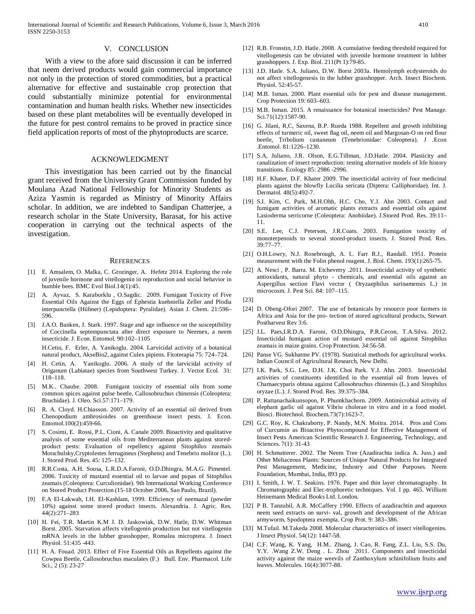#### V. CONCLUSION

With a view to the afore said discussion it can be inferred that neem derived products would gain commercial importance not only in the protection of stored commodities, but a practical alternative for effective and sustainable crop protection that could substantially minimize potential for environmental contamination and human health risks. Whether new insecticides based on these plant metabolites will be eventually developed in the future for pest control remains to be proved in practice since field application reports of most of the phytoproducts are scarce.

#### ACKNOWLEDGMENT

This investigation has been carried out by the financial grant received from the University Grant Commission funded by Moulana Azad National Fellowship for Minority Students as Aziza Yasmin is regarded as Ministry of Minority Affairs scholar. In addition, we are indebted to Sandipan Chatterjee, a research scholar in the State University, Barasat, for his active cooperation in carrying out the technical aspects of the investigation.

#### **REFERENCES**

- [1] E. Amsalem, O. Malka, C. Grozinger, A. Hefetz 2014. Exploring the role of juvenile hormone and vitellogenin in reproduction and social behavior in bumble bees. BMC Evol Biol.14(1):45.
- [2] A. Ayvaz, S. Karaborklu , O.Sagdic. 2009. Fumigant Toxicity of Five Essential Oils Against the Eggs of Ephestia kuehniella Zeller and Plodia interpunctella (Hübner) (Lepidoptera: Pyralidae). Asian J. Chem. 21:596– 596.
- [3] J.A.O. Banken, J. Stark. 1997. Stage and age influence on the susceptibility of Coccinella septempunctata after direct exposure to Neemex, a neem insecticide. J. Econ. Entomol. 90:102–1105

H.Cetin, F. Erler, A. Yanikoglu. 2004. Larvicidal activity of a botanical natural product, AkseBio2, against Culex pipiens. Fitoterapia 75: 724–724.

- [4] H. Cetin, A. Yanikoglu. 2006. A study of the larvicidal activity of Origanum (Labiatae) species from Southwest Turkey. J. Vector Ecol. 31: 118–118.
- [5] M.K.. Chaube. 2008. Fumigant toxicity of essential oils from some common spices against pulse beetle, Callosobruchus chinensis (Coleoptera: Bruchidae). J. Oleo. Sci.57:171–179.
- [6] R. A. Cloyd. H.Chiasson. 2007. Activity of an essential oil derived from Chenopodium ambrosioides on greenhouse insect pests. J. Econ. Entomol.100(2):459-66.
- [7] S. Cosimi, E. Rossi, P.L. Cioni, A. Canale 2009. Bioactivity and qualitative analysis of some essential oils from Mediterranean plants against storedproduct pests: Evaluation of repellency against Sitophilus zeamais Motschulsky,Cryptolestes ferrugineus (Stephens) and Tenebrio molitor (L.). J. Stored Prod. Res. 45: 125–132.
- [8] R.R.Costa, A.H. Sousa, L.R.D.A.Faroni, O.D.Dhingra, M.A.G. Pimentel. 2006. Toxicity of mustard essential oil to larvae and pupas of Sitophilus zeamais (Coleoptera: Curculionidae). 9th International Working Conference on Stored Product Protection (15-18 October 2006, Sao Paulo, Brazil).
- [9] F.A El-Lakwah, I.H. El-Kashlam, 1999. Efficiency of neemazal (powder 10%) against some stored product insects. Alexandria. J. Agric. Res. 44(2):271–283
- [10] H. Fei, T.R. Martin K.M J. D. Jaskowiak, D.W. Hatle, D.W. Whitman Borst. 2005. Starvation affects vitellogenin production but not vitellogenin mRNA levels in the lubber grasshopper, Romalea microptera. J. Insect Physiol. 51:435 -443.
- [11] H. A. Fouad. 2013. Effect of Five Essential Oils as Repellents against the Cowpea Beetle, Callosobruchus maculates (F.) Bull. Env. Pharmacol. Life Sci., 2 (5): 23-27
- [12] R.B. Fronstin, J.D. Hatle. 2008. A cumulative feeding threshold required for vitellogenesis can be obviated with juvenile hormone treatment in lubber grasshoppers. J. Exp. Biol. 211(Pt 1):79-85.
- [13] J.D. Hatle. S.A. Juliano, D.W. Borst 2003a. Hemolymph ecdysteroids do not affect vitellogenesis in the lubber grasshopper. Arch. Insect Biochem. Physiol. 52:45-57.
- [14] M.B. Isman. 2000. Plant essential oils for pest and disease management. Crop Protection 19: 603–603.
- [15] M.B. Isman. 2015. A renaissance for botanical insecticides? Pest Manage. Sci.71(12):1587-90.
- [16] G. Jilani, R,C, Saxena, B.P. Rueda 1988. Repellent and growth inhibiting effects of turmeric oil, sweet flag oil, neem oil and Margosan-O on red flour beetle, Tribolium castaneum (Tenebrionidae: Coleoptera). J .Econ .Entomol. 81:1226–1230.
- [17] S.A, Juliano, J.R. Olson, E.G.Tillman, J.D.Hatle. 2004. Plasticity and canalization of insect reproduction: testing alternative models of life history transitions. Ecology 85: 2986 -2996.
- [18] H.F. Khater, D.F. Khater 2009. The insecticidal activity of four medicinal plants against the blowfly Lucilia sericata (Diptera: Calliphoridae). Int. J. Dermatol. 48(5):492-7.
- [19] S.I. Kim, C. Park, M.H.Ohh, H.C. Cho, Y.J. Ahn 2003. Contact and fumigant activities of aromatic plants extracts and essential oils against Lasioderma serricorne (Coleoptera: Anobiidae). J.Stored Prod. Res. 39:11– 11.
- [20] S.E. Lee, C.J. Peterson, J.R.Coats. 2003. Fumigation toxicity of monoterpenoids to several stored-product insects. J. Stored Prod. Res. 39:77–77.
- [21] O.H.Lowry, N.J. Rosebrough, A. I.. Farr R.J., Randall. 1951. Protein measurement with the Folin phenol reagent. J. Biol. Chem. 193(1):265-75.
- [22] A. Nesci , P. Barra. M. Etcheverry .2011. Insecticidal activity of synthetic antioxidants, natural phyto - chemicals, and essential oils against an Aspergillus section Flavi vector ( Oryzaephilus surinamensis L.) in microcosm. J. Pest Sci. 84: 107–115.
- [23]
- [24] D. Obeng-Ofori 2007. The use of botanicals by resource poor farmers in Africa and Asia for the pro- tection of stored agricultural products, Stewart Postharvest Rev 3:6.
- [25] J.L. Paes, I.R.D.A. Faroni, O.D.Dhingra, P.R.Cecon, T.A.Silva. 2012. Insecticidal fumigant action of mustard essential oil against Sitophilus zeamais in maize grains. Crop Protection. 34:56-58.
- [26] Panse VG. Sukhatme PV. (1978). Statistical methods for agricultural works. Indian Council of Agricultural Research, New Delhi.
- [27] I.K. Park, S.G. Lee, D.H. J.K. Choi Park. Y.J. Ahn. 2003. Insecticidal activities of constituents identified in the essential oil from leaves of Chamaecyparis obtusa against Callosobruchus chinensis (L.) and Sitophilus oryzae (L.). J. Stored Prod. Res. 39:375–384.
- [28] P. Rattanachaikunsopon, P. Phumkhachorn. 2009. Antimicrobial activity of elephant garlic oil against Vibrio cholerae in vitro and in a food model. Biosci. Biotechnol. Biochem.73(7):1623-7.
- [29] G.C. Roy, K. Chakraborty, P. Nandy, M.N. Moitra. 2014. Pros and Cons of Curcumin as Bioactive Phytocompound for Effective Management of Insect Pests American Scientific Research J. Engineering, Technology, and Sciences. 7(1): 31-43
- [30] H. Schmutterer. 2002. The Neem Tree (Azadirachta indica A. Juss.) and Other Meliaceous Plants: Sources of Unique Natural Products for Integrated Pest Management, Medicine, Industry and Other Purposes. Neem Foundation, Mumbai, India, 893 pp.
- [31] I. Smith, J. W. T. Seakins. 1976. Paper and thin layer chromatography. In Chromatographic and Elec-trophoretic techniques. Vol. I pp. 465. Willium Heinemann Medical Books Ltd. London.
- [32] P B. Tanzubil, A.R. McCaffery 1990. Effects of azadirachtin and aqueous neem seed extracts on survi- val, growth and development of the African armyworm, Spodoptera exempta. Crop Prot. 9: 383–386.
- [33] M.Tufail. M.Takeda 2008. Molecular characteristics of insect vitellogenins. J Insect Physiol. 54(12): 1447-58.
- [34] C.F. Wang, K. Yang, H.M.. Zhang, J. Cao, R. Fang, Z.L. Liu, S.S. Du, Y.Y. .Wang Z.W. Deng . L. Zhou 2011. Components and insecticidal activity against the maize weevils of Zanthoxylum schinifolium fruits and leaves. Molecules. 16(4):3077-88.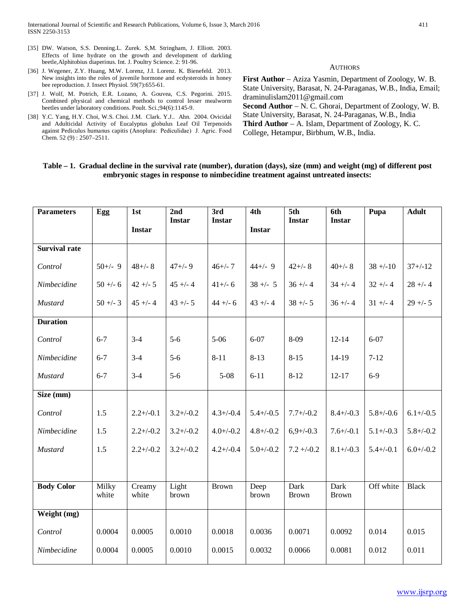- [35] DW. Watson, S.S. Denning.L. Zurek. S,M. Stringham, J. Elliott. 2003. Effects of lime hydrate on the growth and development of darkling beetle,Alphitobius diaperinus. Int. J. Poultry Science. 2: 91-96.
- [36] J. Wegener, Z.Y. Huang, M.W. Lorenz, J.I. Lorenz. K. Bienefeld. 2013. New insights into the roles of juvenile hormone and ecdysteroids in honey bee reproduction. J. Insect Physiol. 59(7):655-61.
- [37] J. Wolf, M. Potrich, E.R. Lozano, A. Gouvea, C.S. Pegorini. 2015. Combined physical and chemical methods to control lesser mealworm beetles under laboratory conditions. Poult. Sci.;94(6):1145-9.
- [38] Y.C. Yang, H.Y. Choi, W.S. Choi. J.M. Clark. Y.J.. Ahn. 2004. Ovicidal and Adulticidal Activity of Eucalyptus globulus Leaf Oil Terpenoids against Pediculus humanus capitis (Anoplura:  Pediculidae) J. Agric. Food Chem. 52 (9) : 2507–2511.

**AUTHORS** 

**First Author** – Aziza Yasmin, Department of Zoology, W. B. State University, Barasat, N. 24-Paraganas, W.B., India, Email; draminulislam2011@gmail.com **Second Author** – N. C. Ghorai, Department of Zoology, W. B. State University, Barasat, N. 24-Paraganas, W.B., India **Third Author** – A. Islam, Department of Zoology, K. C. College, Hetampur, Birbhum, W.B., India.

## **Table – 1. Gradual decline in the survival rate (number), duration (days), size (mm) and weight (mg) of different post embryonic stages in response to nimbecidine treatment against untreated insects:**

| <b>Parameters</b>    | Egg            | 1st             | 2nd<br><b>Instar</b> | 3rd<br><b>Instar</b> | 4th            | 5th<br><b>Instar</b>        | 6th<br><b>Instar</b> | Pupa           | <b>Adult</b>   |
|----------------------|----------------|-----------------|----------------------|----------------------|----------------|-----------------------------|----------------------|----------------|----------------|
|                      |                | <b>Instar</b>   |                      |                      | <b>Instar</b>  |                             |                      |                |                |
| <b>Survival rate</b> |                |                 |                      |                      |                |                             |                      |                |                |
| Control              | $50+/-$ 9      | $48 + - 8$      | $47 + (-9)$          | $46 + (-7)$          | $44+/-9$       | $42+/-8$                    | $40 + (-8)$          | $38 + -10$     | $37 + (-12)$   |
| Nimbecidine          | $50 + -6$      | $42 + - 5$      | $45 + - 4$           | $41+/- 6$            | $38 + - 5$     | $36 + -4$                   | $34 + - 4$           | $32 + -4$      | $28 + -4$      |
| <b>Mustard</b>       | $50 + -3$      | $45 + - 4$      | $43 + - 5$           | $44 + - 6$           | $43 + - 4$     | $38 + - 5$                  | $36 + -4$            | $31 + -4$      | $29 + - 5$     |
| <b>Duration</b>      |                |                 |                      |                      |                |                             |                      |                |                |
| Control              | $6 - 7$        | $3 - 4$         | $5 - 6$              | $5 - 06$             | $6 - 07$       | 8-09                        | $12 - 14$            | $6 - 07$       |                |
| Nimbecidine          | $6 - 7$        | $3-4$           | $5 - 6$              | $8 - 11$             | $8 - 13$       | $8 - 15$                    | 14-19                | $7 - 12$       |                |
| Mustard              | $6 - 7$        | $3-4$           | $5 - 6$              | $5 - 08$             | $6 - 11$       | $8 - 12$                    | $12 - 17$            | $6-9$          |                |
| Size (mm)            |                |                 |                      |                      |                |                             |                      |                |                |
| Control              | 1.5            | $2.2 + (-0.1)$  | $3.2 + / -0.2$       | $4.3 + (-0.4)$       | $5.4 + (-0.5)$ | $7.7 + (-0.2)$              | $8.4 + (-0.3)$       | $5.8 + (-0.6)$ | $6.1 + (-0.5)$ |
| Nimbecidine          | 1.5            | $2.2 + / -0.2$  | $3.2 + / -0.2$       | $4.0 + (-0.2)$       | $4.8 + -0.2$   | $6,9+/-0.3$                 | $7.6 + (-0.1)$       | $5.1 + (-0.3)$ | $5.8 + (-0.2)$ |
| <b>Mustard</b>       | 1.5            | $2.2 + (-0.2)$  | $3.2 + (-0.2)$       | $4.2 + (-0.4)$       | $5.0 + (-0.2)$ | $7.2 + (-0.2)$              | $8.1 + (-0.3)$       | $5.4 + (-0.1)$ | $6.0 + / -0.2$ |
|                      |                |                 |                      |                      |                |                             |                      |                |                |
| <b>Body Color</b>    | Milky<br>white | Creamy<br>white | Light<br>brown       | <b>Brown</b>         | Deep<br>brown  | <b>Dark</b><br><b>Brown</b> | Dark<br><b>Brown</b> | Off white      | <b>Black</b>   |
| Weight (mg)          |                |                 |                      |                      |                |                             |                      |                |                |
| Control              | 0.0004         | 0.0005          | 0.0010               | 0.0018               | 0.0036         | 0.0071                      | 0.0092               | 0.014          | 0.015          |
| Nimbecidine          | 0.0004         | 0.0005          | 0.0010               | 0.0015               | 0.0032         | 0.0066                      | 0.0081               | 0.012          | 0.011          |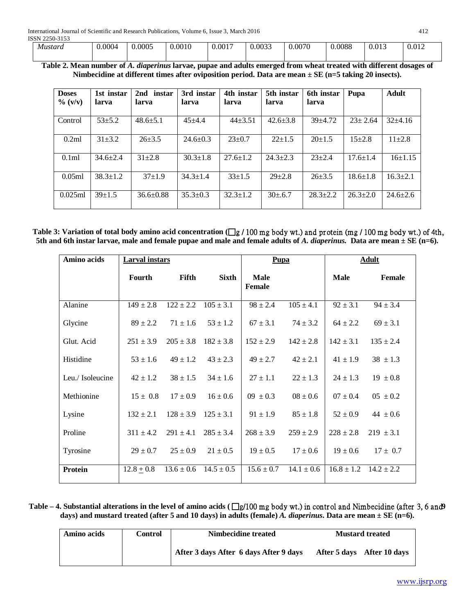| Mustard | 0.0004 | 0.0005 | 0.0010 | 0.0017 | 0.0033 | 0.0070 | 0.0088 | 0.013 | 0.012 |
|---------|--------|--------|--------|--------|--------|--------|--------|-------|-------|
|         |        |        |        |        |        |        |        |       |       |

**Table 2. Mean number of** *A. diaperinus* **larvae, pupae and adults emerged from wheat treated with different dosages of Nimbecidine at different times after oviposition period. Data are mean ± SE (n=5 taking 20 insects).**

| <b>Doses</b><br>$\%$ (v/v) | 1st instar<br>larva | 2nd instar<br>larva | 3rd instar<br>larva | 4th instar<br>larva | 5th instar<br>larva | 6th instar<br>larva | Pupa           | <b>Adult</b>   |
|----------------------------|---------------------|---------------------|---------------------|---------------------|---------------------|---------------------|----------------|----------------|
| Control                    | $53 + 5.2$          | $48.6 \pm 5.1$      | $45 + 4.4$          | $44\pm3.51$         | $42.6 \pm 3.8$      | $39 + 4.72$         | $23 \pm 2.64$  | $32+4.16$      |
| 0.2ml                      | $31 + 3.2$          | $26 + 3.5$          | $24.6 \pm 0.3$      | $23 \pm 0.7$        | $22+1.5$            | $20+1.5$            | $15+2.8$       | $11\pm 2.8$    |
| 0.1ml                      | $34.6 \pm 2.4$      | $31 + 2.8$          | $30.3 \pm 1.8$      | $27.6 \pm 1.2$      | $24.3 + 2.3$        | $23 + 2.4$          | $17.6 \pm 1.4$ | $16+1.15$      |
| 0.05ml                     | $38.3 \pm 1.2$      | $37+1.9$            | $34.3 \pm 1.4$      | $33+1.5$            | $29 + 2.8$          | $26 + 3.5$          | $18.6 \pm 1.8$ | $16.3 \pm 2.1$ |
| 0.025ml                    | $39+1.5$            | $36.6 \pm 0.88$     | $35.3 \pm 0.3$      | $32.3 \pm 1.2$      | $30+6.7$            | $28.3 + 2.2$        | $26.3+2.0$     | $24.6 \pm 2.6$ |

Table 3: Variation of total body amino acid concentration ( $\Box$ g / 100 mg body wt.) and protein (mg / 100 mg body wt.) of 4th, **5th and 6th instar larvae, male and female pupae and male and female adults of** *A. diaperinus.* **Data are mean ± SE (n=6).**

| Amino acids      | <b>Larval</b> instars |                |                | Pupa                         |                | <b>Adult</b>                  |               |
|------------------|-----------------------|----------------|----------------|------------------------------|----------------|-------------------------------|---------------|
|                  | <b>Fourth</b>         | Fifth          | <b>Sixth</b>   | <b>Male</b><br><b>Female</b> |                | <b>Male</b>                   | Female        |
| Alanine          | $149 \pm 2.8$         | $122 \pm 2.2$  | $105 \pm 3.1$  | $98 \pm 2.4$                 | $105 \pm 4.1$  | $92 \pm 3.1$                  | $94 \pm 3.4$  |
| Glycine          | $89 \pm 2.2$          | $71 \pm 1.6$   | $53 \pm 1.2$   | $67 \pm 3.1$                 | $74 \pm 3.2$   | $64 \pm 2.2$                  | $69 \pm 3.1$  |
| Glut. Acid       | $251 \pm 3.9$         | $205 \pm 3.8$  | $182 \pm 3.8$  | $152 \pm 2.9$                | $142 \pm 2.8$  | $142 \pm 3.1$                 | $135 \pm 2.4$ |
| Histidine        | $53 \pm 1.6$          | $49 \pm 1.2$   | $43 \pm 2.3$   | $49 \pm 2.7$                 | $42 \pm 2.1$   | $41 \pm 1.9$                  | $38 \pm 1.3$  |
| Leu./ Isoleucine | $42 \pm 1.2$          | $38 \pm 1.5$   | $34 \pm 1.6$   | $27 \pm 1.1$                 | $22 \pm 1.3$   | $24 \pm 1.3$                  | $19 \pm 0.8$  |
| Methionine       | $15 \pm 0.8$          | $17 \pm 0.9$   | $16 \pm 0.6$   | $09 \pm 0.3$                 | $08 \pm 0.6$   | $07 \pm 0.4$                  | $0.5 \pm 0.2$ |
| Lysine           | $132 \pm 2.1$         | $128 \pm 3.9$  | $125 \pm 3.1$  | $91 \pm 1.9$                 | $85 \pm 1.8$   | $52 \pm 0.9$                  | $44 \pm 0.6$  |
| Proline          | $311 \pm 4.2$         | $291 \pm 4.1$  | $285 \pm 3.4$  | $268 \pm 3.9$                | $259 \pm 2.9$  | $228 \pm 2.8$                 | $219 \pm 3.1$ |
| Tyrosine         | $29 \pm 0.7$          | $25 \pm 0.9$   | $21 \pm 0.5$   | $19 \pm 0.5$                 | $17 \pm 0.6$   | $19 \pm 0.6$                  | $17 \pm 0.7$  |
| Protein          | $12.8 + 0.8$          | $13.6 \pm 0.6$ | $14.5 \pm 0.5$ | $15.6 \pm 0.7$               | $14.1 \pm 0.6$ | $16.8 \pm 1.2$ $14.2 \pm 2.2$ |               |

Table – 4. Substantial alterations in the level of amino acids ( $\Box$ g/100 mg body wt.) in control and Nimbecidine (after 3, 6 and **9 days) and mustard treated (after 5 and 10 days) in adults (female)** *A. diaperinus***. Data are mean ± SE (n=6).**

| Amino acids | Control | Nimbecidine treated                    | <b>Mustard treated</b> |                            |  |
|-------------|---------|----------------------------------------|------------------------|----------------------------|--|
|             |         | After 3 days After 6 days After 9 days |                        | After 5 days After 10 days |  |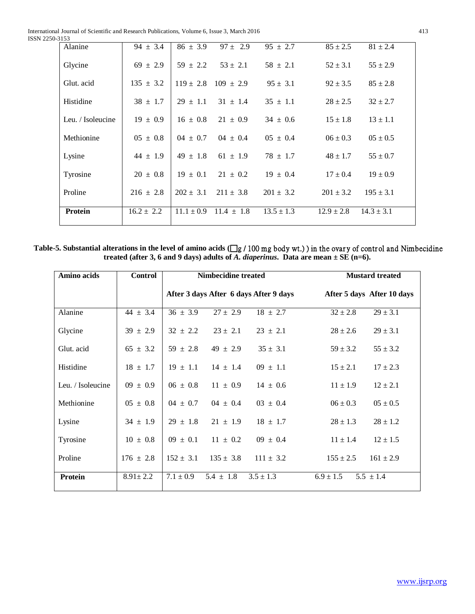| 31JJ              |                |                |                |                |                |                |  |
|-------------------|----------------|----------------|----------------|----------------|----------------|----------------|--|
| Alanine           | $94 \pm 3.4$   | $86 \pm 3.9$   | $97 \pm 2.9$   | $95 \pm 2.7$   | $85 \pm 2.5$   | $81 \pm 2.4$   |  |
| Glycine           | $69 \pm 2.9$   | $59 \pm 2.2$   | $53 \pm 2.1$   | $58 \pm 2.1$   | $52 \pm 3.1$   | $55 \pm 2.9$   |  |
| Glut. acid        | $135 \pm 3.2$  | $119 \pm 2.8$  | $109 \pm 2.9$  | $95 \pm 3.1$   | $92 \pm 3.5$   | $85 \pm 2.8$   |  |
| Histidine         | $38 \pm 1.7$   | $29 \pm 1.1$   | $31 \pm 1.4$   | $35 \pm 1.1$   | $28 \pm 2.5$   | $32 \pm 2.7$   |  |
| Leu. / Isoleucine | $19 \pm 0.9$   | $16 \pm 0.8$   | $21 \pm 0.9$   | $34 \pm 0.6$   | $15 \pm 1.8$   | $13 \pm 1.1$   |  |
| Methionine        | $05 \pm 0.8$   | $04 \pm 0.7$   | $04 \pm 0.4$   | $05 \pm 0.4$   | $06 \pm 0.3$   | $0.5 \pm 0.5$  |  |
| Lysine            | $44 \pm 1.9$   | $49 \pm 1.8$   | $61 \pm 1.9$   | $78 \pm 1.7$   | $48 \pm 1.7$   | $55 \pm 0.7$   |  |
| Tyrosine          | $20 \pm 0.8$   | $19 \pm 0.1$   | $21 \pm 0.2$   | $19 \pm 0.4$   | $17 \pm 0.4$   | $19 \pm 0.9$   |  |
| Proline           | $216 \pm 2.8$  | $202 \pm 3.1$  | $211 \pm 3.8$  | $201 \pm 3.2$  | $201 \pm 3.2$  | $195 \pm 3.1$  |  |
| Protein           | $16.2 \pm 2.2$ | $11.1 \pm 0.9$ | $11.4 \pm 1.8$ | $13.5 \pm 1.3$ | $12.9 \pm 2.8$ | $14.3 \pm 3.1$ |  |

Table-5. Substantial alterations in the level of amino acids  $(\Box g / 100 \text{ mg}$  body wt.) in the ovary of control and Nimbecidine **treated (after 3, 6 and 9 days) adults of** *A. diaperinus***. Data are mean ± SE (n=6).**

| Amino acids       | <b>Control</b> | <b>Nimbecidine treated</b>             |               | <b>Mustard treated</b> |                            |  |
|-------------------|----------------|----------------------------------------|---------------|------------------------|----------------------------|--|
|                   |                | After 3 days After 6 days After 9 days |               |                        | After 5 days After 10 days |  |
| Alanine           | $44 \pm 3.4$   | $36 \pm 3.9$<br>$27 \pm 2.9$           | $18 \pm 2.7$  | $32 \pm 2.8$           | $29 \pm 3.1$               |  |
| Glycine           | $39 \pm 2.9$   | $32 \pm 2.2$<br>$23 \pm 2.1$           | $23 \pm 2.1$  | $28 \pm 2.6$           | $29 \pm 3.1$               |  |
| Glut. acid        | $65 \pm 3.2$   | $59 \pm 2.8$<br>$49 \pm 2.9$           | $35 \pm 3.1$  | $59 \pm 3.2$           | $55 \pm 3.2$               |  |
| Histidine         | $18 \pm 1.7$   | $19 \pm 1.1$<br>$14 \pm 1.4$           | $09 \pm 1.1$  | $15 \pm 2.1$           | $17 \pm 2.3$               |  |
| Leu. / Isoleucine | $09 \pm 0.9$   | $11 \pm 0.9$<br>$06 \pm 0.8$           | $14 \pm 0.6$  | $11 \pm 1.9$           | $12 \pm 2.1$               |  |
| Methionine        | $05 \pm 0.8$   | $04 \pm 0.7$<br>$04 \pm 0.4$           | $03 \pm 0.4$  | $06 \pm 0.3$           | $0.5 \pm 0.5$              |  |
| Lysine            | $34 \pm 1.9$   | $29 \pm 1.8$<br>$21 \pm 1.9$           | $18 \pm 1.7$  | $28 \pm 1.3$           | $28 \pm 1.2$               |  |
| Tyrosine          | $10 \pm 0.8$   | $09 \pm 0.1$<br>$11 \pm 0.2$           | $09 \pm 0.4$  | $11 \pm 1.4$           | $12 \pm 1.5$               |  |
| Proline           | $176 \pm 2.8$  | $152 \pm 3.1$<br>$135 \pm 3.8$         | $111 \pm 3.2$ | $155 \pm 2.5$          | $161 \pm 2.9$              |  |
| Protein           | $8.91 \pm 2.2$ | $7.1 \pm 0.9$<br>$5.4 \pm 1.8$         | $3.5 \pm 1.3$ | $6.9 \pm 1.5$          | $5.5 \pm 1.4$              |  |